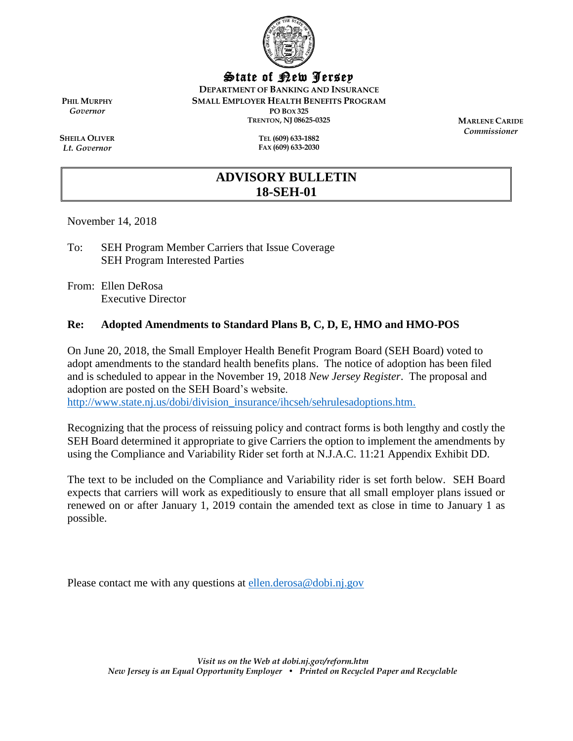

State of New Jersey

**DEPARTMENT OF BANKING AND INSURANCE**

**SMALL EMPLOYER HEALTH BENEFITS PROGRAM**

**PO BOX 325 TRENTON, NJ 08625-0325**

> **TEL (609) 633-1882 FAX (609) 633-2030**

**MARLENE CARIDE** *Commissioner*

**SHEILA OLIVER** *Lt. Governor*

**PHIL MURPHY** *Governor*

# **ADVISORY BULLETIN 18-SEH-01**

November 14, 2018

- To: SEH Program Member Carriers that Issue Coverage SEH Program Interested Parties
- From: Ellen DeRosa Executive Director

### **Re: Adopted Amendments to Standard Plans B, C, D, E, HMO and HMO-POS**

On June 20, 2018, the Small Employer Health Benefit Program Board (SEH Board) voted to adopt amendments to the standard health benefits plans. The notice of adoption has been filed and is scheduled to appear in the November 19, 2018 *New Jersey Register*. The proposal and adoption are posted on the SEH Board's website. [http://www.state.nj.us/dobi/division\\_insurance/ihcseh/sehrulesadoptions.htm.](http://www.state.nj.us/dobi/division_insurance/ihcseh/sehrulesadoptions.htm)

Recognizing that the process of reissuing policy and contract forms is both lengthy and costly the SEH Board determined it appropriate to give Carriers the option to implement the amendments by using the Compliance and Variability Rider set forth at N.J.A.C. 11:21 Appendix Exhibit DD.

The text to be included on the Compliance and Variability rider is set forth below. SEH Board expects that carriers will work as expeditiously to ensure that all small employer plans issued or renewed on or after January 1, 2019 contain the amended text as close in time to January 1 as possible.

Please contact me with any questions at [ellen.derosa@dobi.nj.gov](mailto:ellen.derosa@dobi.nj.gov)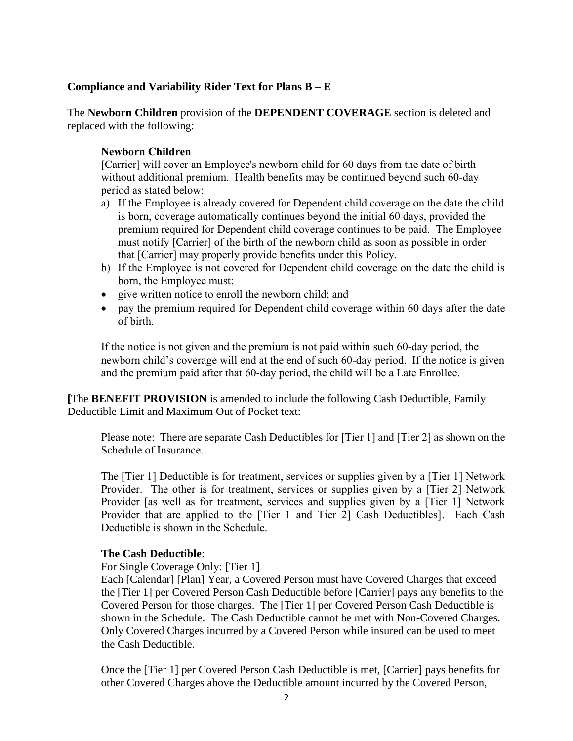### **Compliance and Variability Rider Text for Plans B – E**

The **Newborn Children** provision of the **DEPENDENT COVERAGE** section is deleted and replaced with the following:

### **Newborn Children**

[Carrier] will cover an Employee's newborn child for 60 days from the date of birth without additional premium. Health benefits may be continued beyond such 60-day period as stated below:

- a) If the Employee is already covered for Dependent child coverage on the date the child is born, coverage automatically continues beyond the initial 60 days, provided the premium required for Dependent child coverage continues to be paid. The Employee must notify [Carrier] of the birth of the newborn child as soon as possible in order that [Carrier] may properly provide benefits under this Policy.
- b) If the Employee is not covered for Dependent child coverage on the date the child is born, the Employee must:
- give written notice to enroll the newborn child; and
- pay the premium required for Dependent child coverage within 60 days after the date of birth.

If the notice is not given and the premium is not paid within such 60-day period, the newborn child's coverage will end at the end of such 60-day period. If the notice is given and the premium paid after that 60-day period, the child will be a Late Enrollee.

**[**The **BENEFIT PROVISION** is amended to include the following Cash Deductible, Family Deductible Limit and Maximum Out of Pocket text:

Please note: There are separate Cash Deductibles for [Tier 1] and [Tier 2] as shown on the Schedule of Insurance.

The [Tier 1] Deductible is for treatment, services or supplies given by a [Tier 1] Network Provider. The other is for treatment, services or supplies given by a [Tier 2] Network Provider [as well as for treatment, services and supplies given by a [Tier 1] Network Provider that are applied to the [Tier 1 and Tier 2] Cash Deductibles]. Each Cash Deductible is shown in the Schedule.

### **The Cash Deductible**:

For Single Coverage Only: [Tier 1]

Each [Calendar] [Plan] Year, a Covered Person must have Covered Charges that exceed the [Tier 1] per Covered Person Cash Deductible before [Carrier] pays any benefits to the Covered Person for those charges. The [Tier 1] per Covered Person Cash Deductible is shown in the Schedule. The Cash Deductible cannot be met with Non-Covered Charges. Only Covered Charges incurred by a Covered Person while insured can be used to meet the Cash Deductible.

Once the [Tier 1] per Covered Person Cash Deductible is met, [Carrier] pays benefits for other Covered Charges above the Deductible amount incurred by the Covered Person,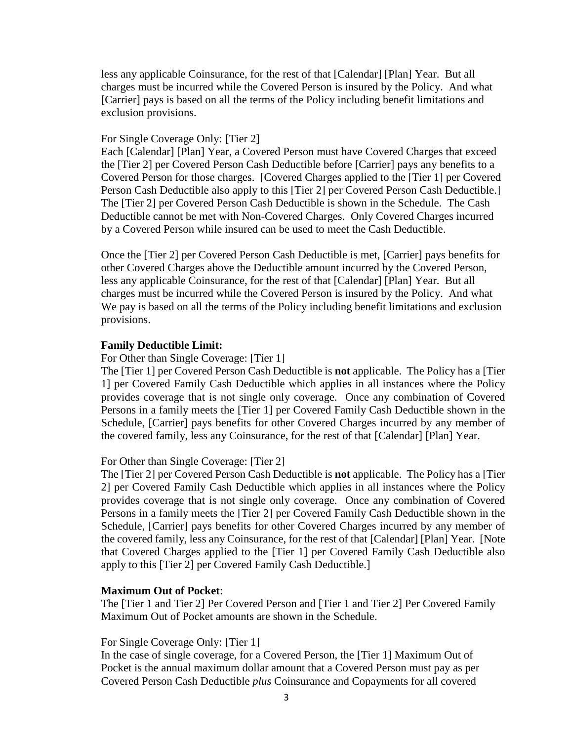less any applicable Coinsurance, for the rest of that [Calendar] [Plan] Year. But all charges must be incurred while the Covered Person is insured by the Policy. And what [Carrier] pays is based on all the terms of the Policy including benefit limitations and exclusion provisions.

#### For Single Coverage Only: [Tier 2]

Each [Calendar] [Plan] Year, a Covered Person must have Covered Charges that exceed the [Tier 2] per Covered Person Cash Deductible before [Carrier] pays any benefits to a Covered Person for those charges. [Covered Charges applied to the [Tier 1] per Covered Person Cash Deductible also apply to this [Tier 2] per Covered Person Cash Deductible.] The [Tier 2] per Covered Person Cash Deductible is shown in the Schedule. The Cash Deductible cannot be met with Non-Covered Charges. Only Covered Charges incurred by a Covered Person while insured can be used to meet the Cash Deductible.

Once the [Tier 2] per Covered Person Cash Deductible is met, [Carrier] pays benefits for other Covered Charges above the Deductible amount incurred by the Covered Person, less any applicable Coinsurance, for the rest of that [Calendar] [Plan] Year. But all charges must be incurred while the Covered Person is insured by the Policy. And what We pay is based on all the terms of the Policy including benefit limitations and exclusion provisions.

### **Family Deductible Limit:**

For Other than Single Coverage: [Tier 1]

The [Tier 1] per Covered Person Cash Deductible is **not** applicable. The Policy has a [Tier 1] per Covered Family Cash Deductible which applies in all instances where the Policy provides coverage that is not single only coverage. Once any combination of Covered Persons in a family meets the [Tier 1] per Covered Family Cash Deductible shown in the Schedule, [Carrier] pays benefits for other Covered Charges incurred by any member of the covered family, less any Coinsurance, for the rest of that [Calendar] [Plan] Year.

For Other than Single Coverage: [Tier 2]

The [Tier 2] per Covered Person Cash Deductible is **not** applicable. The Policy has a [Tier 2] per Covered Family Cash Deductible which applies in all instances where the Policy provides coverage that is not single only coverage. Once any combination of Covered Persons in a family meets the [Tier 2] per Covered Family Cash Deductible shown in the Schedule, [Carrier] pays benefits for other Covered Charges incurred by any member of the covered family, less any Coinsurance, for the rest of that [Calendar] [Plan] Year. [Note that Covered Charges applied to the [Tier 1] per Covered Family Cash Deductible also apply to this [Tier 2] per Covered Family Cash Deductible.]

#### **Maximum Out of Pocket**:

The [Tier 1 and Tier 2] Per Covered Person and [Tier 1 and Tier 2] Per Covered Family Maximum Out of Pocket amounts are shown in the Schedule.

#### For Single Coverage Only: [Tier 1]

In the case of single coverage, for a Covered Person, the [Tier 1] Maximum Out of Pocket is the annual maximum dollar amount that a Covered Person must pay as per Covered Person Cash Deductible *plus* Coinsurance and Copayments for all covered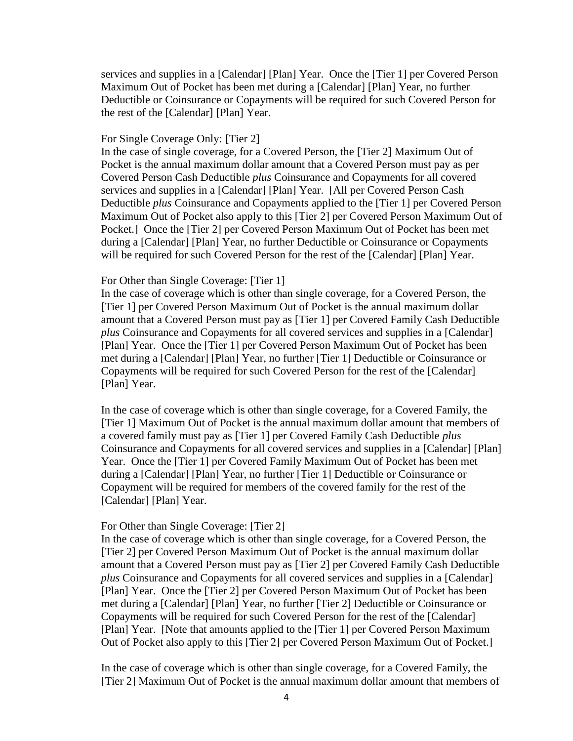services and supplies in a [Calendar] [Plan] Year. Once the [Tier 1] per Covered Person Maximum Out of Pocket has been met during a [Calendar] [Plan] Year, no further Deductible or Coinsurance or Copayments will be required for such Covered Person for the rest of the [Calendar] [Plan] Year.

#### For Single Coverage Only: [Tier 2]

In the case of single coverage, for a Covered Person, the [Tier 2] Maximum Out of Pocket is the annual maximum dollar amount that a Covered Person must pay as per Covered Person Cash Deductible *plus* Coinsurance and Copayments for all covered services and supplies in a [Calendar] [Plan] Year. [All per Covered Person Cash Deductible *plus* Coinsurance and Copayments applied to the [Tier 1] per Covered Person Maximum Out of Pocket also apply to this [Tier 2] per Covered Person Maximum Out of Pocket.] Once the [Tier 2] per Covered Person Maximum Out of Pocket has been met during a [Calendar] [Plan] Year, no further Deductible or Coinsurance or Copayments will be required for such Covered Person for the rest of the [Calendar] [Plan] Year.

#### For Other than Single Coverage: [Tier 1]

In the case of coverage which is other than single coverage, for a Covered Person, the [Tier 1] per Covered Person Maximum Out of Pocket is the annual maximum dollar amount that a Covered Person must pay as [Tier 1] per Covered Family Cash Deductible *plus* Coinsurance and Copayments for all covered services and supplies in a [Calendar] [Plan] Year. Once the [Tier 1] per Covered Person Maximum Out of Pocket has been met during a [Calendar] [Plan] Year, no further [Tier 1] Deductible or Coinsurance or Copayments will be required for such Covered Person for the rest of the [Calendar] [Plan] Year.

In the case of coverage which is other than single coverage, for a Covered Family, the [Tier 1] Maximum Out of Pocket is the annual maximum dollar amount that members of a covered family must pay as [Tier 1] per Covered Family Cash Deductible *plus* Coinsurance and Copayments for all covered services and supplies in a [Calendar] [Plan] Year. Once the [Tier 1] per Covered Family Maximum Out of Pocket has been met during a [Calendar] [Plan] Year, no further [Tier 1] Deductible or Coinsurance or Copayment will be required for members of the covered family for the rest of the [Calendar] [Plan] Year.

#### For Other than Single Coverage: [Tier 2]

In the case of coverage which is other than single coverage, for a Covered Person, the [Tier 2] per Covered Person Maximum Out of Pocket is the annual maximum dollar amount that a Covered Person must pay as [Tier 2] per Covered Family Cash Deductible *plus* Coinsurance and Copayments for all covered services and supplies in a [Calendar] [Plan] Year. Once the [Tier 2] per Covered Person Maximum Out of Pocket has been met during a [Calendar] [Plan] Year, no further [Tier 2] Deductible or Coinsurance or Copayments will be required for such Covered Person for the rest of the [Calendar] [Plan] Year. [Note that amounts applied to the [Tier 1] per Covered Person Maximum Out of Pocket also apply to this [Tier 2] per Covered Person Maximum Out of Pocket.]

In the case of coverage which is other than single coverage, for a Covered Family, the [Tier 2] Maximum Out of Pocket is the annual maximum dollar amount that members of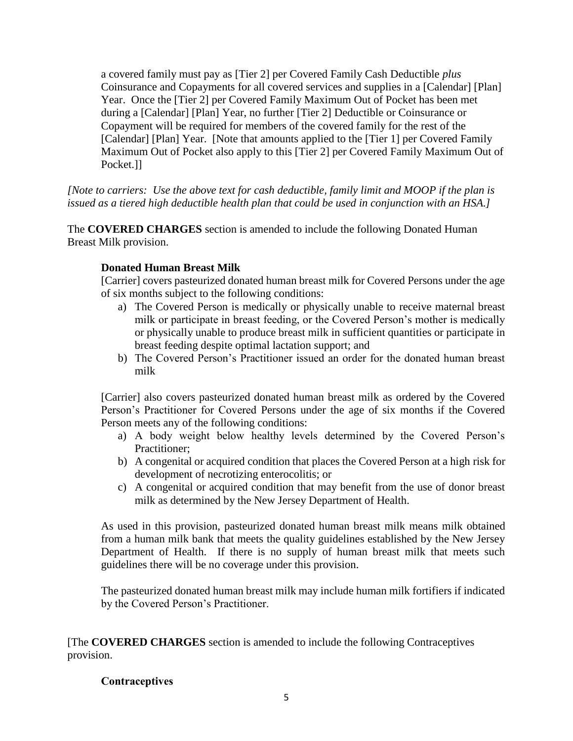a covered family must pay as [Tier 2] per Covered Family Cash Deductible *plus* Coinsurance and Copayments for all covered services and supplies in a [Calendar] [Plan] Year. Once the [Tier 2] per Covered Family Maximum Out of Pocket has been met during a [Calendar] [Plan] Year, no further [Tier 2] Deductible or Coinsurance or Copayment will be required for members of the covered family for the rest of the [Calendar] [Plan] Year. [Note that amounts applied to the [Tier 1] per Covered Family Maximum Out of Pocket also apply to this [Tier 2] per Covered Family Maximum Out of Pocket.]]

*[Note to carriers: Use the above text for cash deductible, family limit and MOOP if the plan is issued as a tiered high deductible health plan that could be used in conjunction with an HSA.]*

The **COVERED CHARGES** section is amended to include the following Donated Human Breast Milk provision.

### **Donated Human Breast Milk**

[Carrier] covers pasteurized donated human breast milk for Covered Persons under the age of six months subject to the following conditions:

- a) The Covered Person is medically or physically unable to receive maternal breast milk or participate in breast feeding, or the Covered Person's mother is medically or physically unable to produce breast milk in sufficient quantities or participate in breast feeding despite optimal lactation support; and
- b) The Covered Person's Practitioner issued an order for the donated human breast milk

[Carrier] also covers pasteurized donated human breast milk as ordered by the Covered Person's Practitioner for Covered Persons under the age of six months if the Covered Person meets any of the following conditions:

- a) A body weight below healthy levels determined by the Covered Person's Practitioner;
- b) A congenital or acquired condition that places the Covered Person at a high risk for development of necrotizing enterocolitis; or
- c) A congenital or acquired condition that may benefit from the use of donor breast milk as determined by the New Jersey Department of Health.

As used in this provision, pasteurized donated human breast milk means milk obtained from a human milk bank that meets the quality guidelines established by the New Jersey Department of Health. If there is no supply of human breast milk that meets such guidelines there will be no coverage under this provision.

The pasteurized donated human breast milk may include human milk fortifiers if indicated by the Covered Person's Practitioner.

[The **COVERED CHARGES** section is amended to include the following Contraceptives provision.

### **Contraceptives**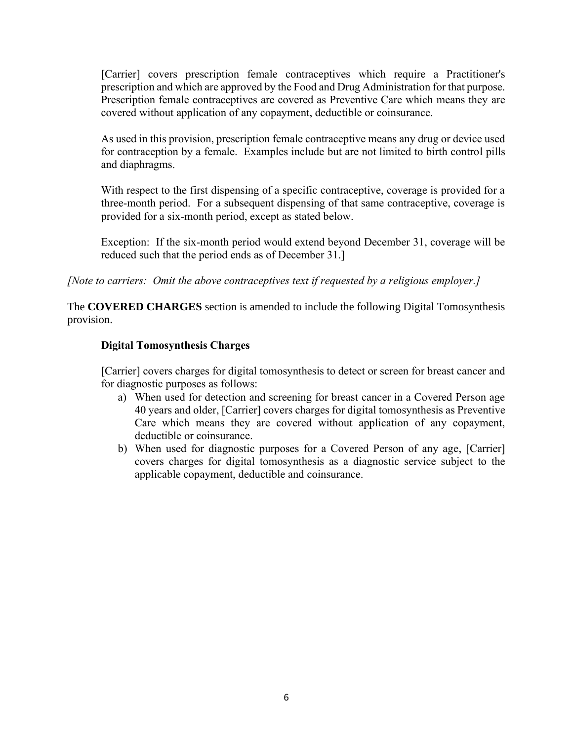[Carrier] covers prescription female contraceptives which require a Practitioner's prescription and which are approved by the Food and Drug Administration for that purpose. Prescription female contraceptives are covered as Preventive Care which means they are covered without application of any copayment, deductible or coinsurance.

As used in this provision, prescription female contraceptive means any drug or device used for contraception by a female. Examples include but are not limited to birth control pills and diaphragms.

With respect to the first dispensing of a specific contraceptive, coverage is provided for a three-month period. For a subsequent dispensing of that same contraceptive, coverage is provided for a six-month period, except as stated below.

Exception: If the six-month period would extend beyond December 31, coverage will be reduced such that the period ends as of December 31.]

*[Note to carriers: Omit the above contraceptives text if requested by a religious employer.]*

The **COVERED CHARGES** section is amended to include the following Digital Tomosynthesis provision.

### **Digital Tomosynthesis Charges**

[Carrier] covers charges for digital tomosynthesis to detect or screen for breast cancer and for diagnostic purposes as follows:

- a) When used for detection and screening for breast cancer in a Covered Person age 40 years and older, [Carrier] covers charges for digital tomosynthesis as Preventive Care which means they are covered without application of any copayment, deductible or coinsurance.
- b) When used for diagnostic purposes for a Covered Person of any age, [Carrier] covers charges for digital tomosynthesis as a diagnostic service subject to the applicable copayment, deductible and coinsurance.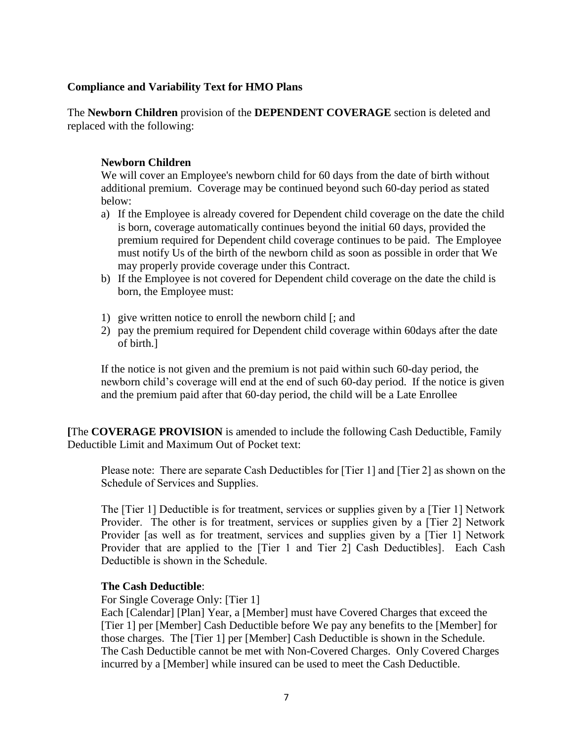### **Compliance and Variability Text for HMO Plans**

The **Newborn Children** provision of the **DEPENDENT COVERAGE** section is deleted and replaced with the following:

### **Newborn Children**

We will cover an Employee's newborn child for 60 days from the date of birth without additional premium. Coverage may be continued beyond such 60-day period as stated below:

- a) If the Employee is already covered for Dependent child coverage on the date the child is born, coverage automatically continues beyond the initial 60 days, provided the premium required for Dependent child coverage continues to be paid. The Employee must notify Us of the birth of the newborn child as soon as possible in order that We may properly provide coverage under this Contract.
- b) If the Employee is not covered for Dependent child coverage on the date the child is born, the Employee must:
- 1) give written notice to enroll the newborn child [; and
- 2) pay the premium required for Dependent child coverage within 60days after the date of birth.]

If the notice is not given and the premium is not paid within such 60-day period, the newborn child's coverage will end at the end of such 60-day period. If the notice is given and the premium paid after that 60-day period, the child will be a Late Enrollee

**[**The **COVERAGE PROVISION** is amended to include the following Cash Deductible, Family Deductible Limit and Maximum Out of Pocket text:

Please note: There are separate Cash Deductibles for [Tier 1] and [Tier 2] as shown on the Schedule of Services and Supplies.

The [Tier 1] Deductible is for treatment, services or supplies given by a [Tier 1] Network Provider. The other is for treatment, services or supplies given by a [Tier 2] Network Provider [as well as for treatment, services and supplies given by a [Tier 1] Network Provider that are applied to the [Tier 1 and Tier 2] Cash Deductibles]. Each Cash Deductible is shown in the Schedule.

### **The Cash Deductible**:

For Single Coverage Only: [Tier 1]

Each [Calendar] [Plan] Year, a [Member] must have Covered Charges that exceed the [Tier 1] per [Member] Cash Deductible before We pay any benefits to the [Member] for those charges. The [Tier 1] per [Member] Cash Deductible is shown in the Schedule. The Cash Deductible cannot be met with Non-Covered Charges. Only Covered Charges incurred by a [Member] while insured can be used to meet the Cash Deductible.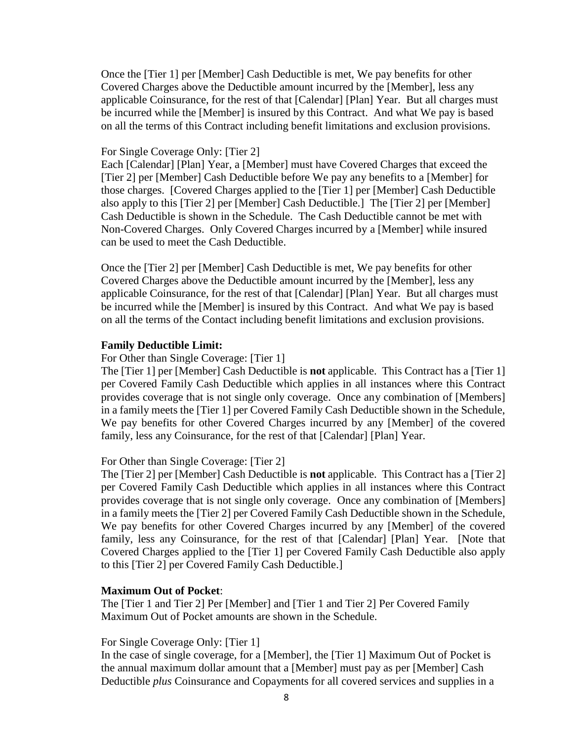Once the [Tier 1] per [Member] Cash Deductible is met, We pay benefits for other Covered Charges above the Deductible amount incurred by the [Member], less any applicable Coinsurance, for the rest of that [Calendar] [Plan] Year. But all charges must be incurred while the [Member] is insured by this Contract. And what We pay is based on all the terms of this Contract including benefit limitations and exclusion provisions.

#### For Single Coverage Only: [Tier 2]

Each [Calendar] [Plan] Year, a [Member] must have Covered Charges that exceed the [Tier 2] per [Member] Cash Deductible before We pay any benefits to a [Member] for those charges. [Covered Charges applied to the [Tier 1] per [Member] Cash Deductible also apply to this [Tier 2] per [Member] Cash Deductible.] The [Tier 2] per [Member] Cash Deductible is shown in the Schedule. The Cash Deductible cannot be met with Non-Covered Charges. Only Covered Charges incurred by a [Member] while insured can be used to meet the Cash Deductible.

Once the [Tier 2] per [Member] Cash Deductible is met, We pay benefits for other Covered Charges above the Deductible amount incurred by the [Member], less any applicable Coinsurance, for the rest of that [Calendar] [Plan] Year. But all charges must be incurred while the [Member] is insured by this Contract. And what We pay is based on all the terms of the Contact including benefit limitations and exclusion provisions.

#### **Family Deductible Limit:**

For Other than Single Coverage: [Tier 1]

The [Tier 1] per [Member] Cash Deductible is **not** applicable. This Contract has a [Tier 1] per Covered Family Cash Deductible which applies in all instances where this Contract provides coverage that is not single only coverage. Once any combination of [Members] in a family meets the [Tier 1] per Covered Family Cash Deductible shown in the Schedule, We pay benefits for other Covered Charges incurred by any [Member] of the covered family, less any Coinsurance, for the rest of that [Calendar] [Plan] Year.

For Other than Single Coverage: [Tier 2]

The [Tier 2] per [Member] Cash Deductible is **not** applicable. This Contract has a [Tier 2] per Covered Family Cash Deductible which applies in all instances where this Contract provides coverage that is not single only coverage. Once any combination of [Members] in a family meets the [Tier 2] per Covered Family Cash Deductible shown in the Schedule, We pay benefits for other Covered Charges incurred by any [Member] of the covered family, less any Coinsurance, for the rest of that [Calendar] [Plan] Year. [Note that Covered Charges applied to the [Tier 1] per Covered Family Cash Deductible also apply to this [Tier 2] per Covered Family Cash Deductible.]

#### **Maximum Out of Pocket**:

The [Tier 1 and Tier 2] Per [Member] and [Tier 1 and Tier 2] Per Covered Family Maximum Out of Pocket amounts are shown in the Schedule.

#### For Single Coverage Only: [Tier 1]

In the case of single coverage, for a [Member], the [Tier 1] Maximum Out of Pocket is the annual maximum dollar amount that a [Member] must pay as per [Member] Cash Deductible *plus* Coinsurance and Copayments for all covered services and supplies in a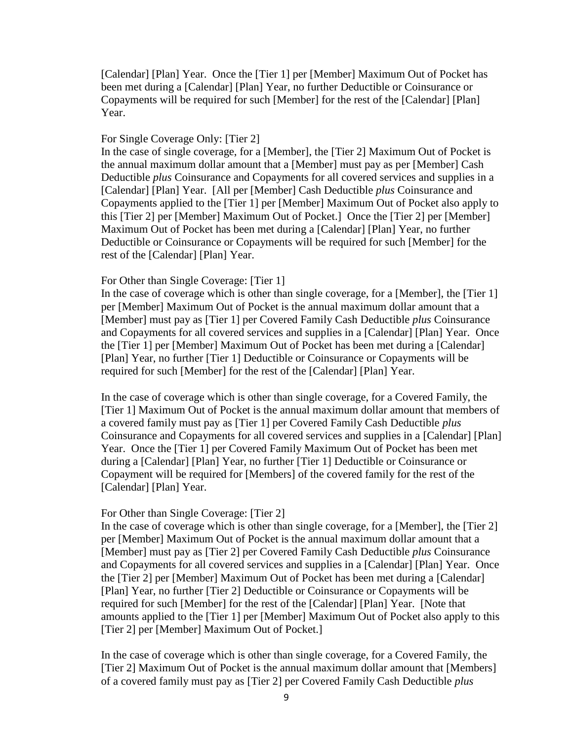[Calendar] [Plan] Year. Once the [Tier 1] per [Member] Maximum Out of Pocket has been met during a [Calendar] [Plan] Year, no further Deductible or Coinsurance or Copayments will be required for such [Member] for the rest of the [Calendar] [Plan] Year.

#### For Single Coverage Only: [Tier 2]

In the case of single coverage, for a [Member], the [Tier 2] Maximum Out of Pocket is the annual maximum dollar amount that a [Member] must pay as per [Member] Cash Deductible *plus* Coinsurance and Copayments for all covered services and supplies in a [Calendar] [Plan] Year. [All per [Member] Cash Deductible *plus* Coinsurance and Copayments applied to the [Tier 1] per [Member] Maximum Out of Pocket also apply to this [Tier 2] per [Member] Maximum Out of Pocket.] Once the [Tier 2] per [Member] Maximum Out of Pocket has been met during a [Calendar] [Plan] Year, no further Deductible or Coinsurance or Copayments will be required for such [Member] for the rest of the [Calendar] [Plan] Year.

#### For Other than Single Coverage: [Tier 1]

In the case of coverage which is other than single coverage, for a [Member], the [Tier 1] per [Member] Maximum Out of Pocket is the annual maximum dollar amount that a [Member] must pay as [Tier 1] per Covered Family Cash Deductible *plus* Coinsurance and Copayments for all covered services and supplies in a [Calendar] [Plan] Year. Once the [Tier 1] per [Member] Maximum Out of Pocket has been met during a [Calendar] [Plan] Year, no further [Tier 1] Deductible or Coinsurance or Copayments will be required for such [Member] for the rest of the [Calendar] [Plan] Year.

In the case of coverage which is other than single coverage, for a Covered Family, the [Tier 1] Maximum Out of Pocket is the annual maximum dollar amount that members of a covered family must pay as [Tier 1] per Covered Family Cash Deductible *plus* Coinsurance and Copayments for all covered services and supplies in a [Calendar] [Plan] Year. Once the [Tier 1] per Covered Family Maximum Out of Pocket has been met during a [Calendar] [Plan] Year, no further [Tier 1] Deductible or Coinsurance or Copayment will be required for [Members] of the covered family for the rest of the [Calendar] [Plan] Year.

#### For Other than Single Coverage: [Tier 2]

In the case of coverage which is other than single coverage, for a [Member], the [Tier 2] per [Member] Maximum Out of Pocket is the annual maximum dollar amount that a [Member] must pay as [Tier 2] per Covered Family Cash Deductible *plus* Coinsurance and Copayments for all covered services and supplies in a [Calendar] [Plan] Year. Once the [Tier 2] per [Member] Maximum Out of Pocket has been met during a [Calendar] [Plan] Year, no further [Tier 2] Deductible or Coinsurance or Copayments will be required for such [Member] for the rest of the [Calendar] [Plan] Year. [Note that amounts applied to the [Tier 1] per [Member] Maximum Out of Pocket also apply to this [Tier 2] per [Member] Maximum Out of Pocket.]

In the case of coverage which is other than single coverage, for a Covered Family, the [Tier 2] Maximum Out of Pocket is the annual maximum dollar amount that [Members] of a covered family must pay as [Tier 2] per Covered Family Cash Deductible *plus*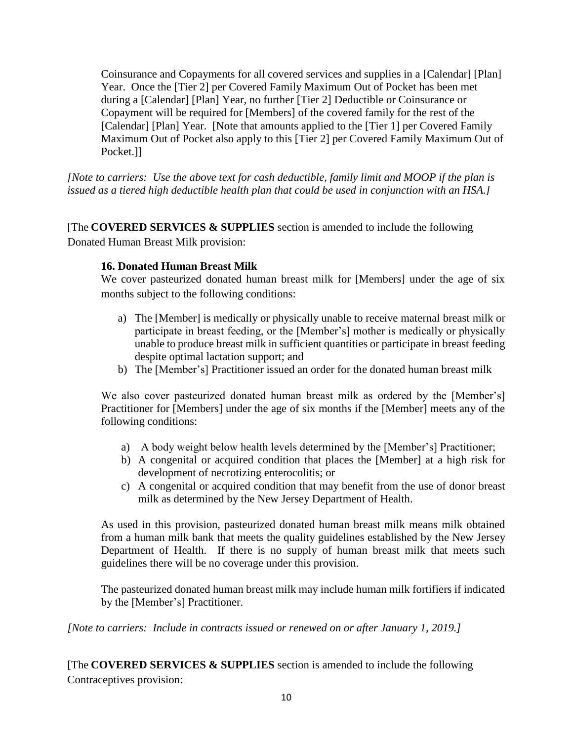Coinsurance and Copayments for all covered services and supplies in a [Calendar] [Plan] Year. Once the [Tier 2] per Covered Family Maximum Out of Pocket has been met during a [Calendar] [Plan] Year, no further [Tier 2] Deductible or Coinsurance or Copayment will be required for [Members] of the covered family for the rest of the [Calendar] [Plan] Year. [Note that amounts applied to the [Tier 1] per Covered Family Maximum Out of Pocket also apply to this [Tier 2] per Covered Family Maximum Out of Pocket.]]

*[Note to carriers: Use the above text for cash deductible, family limit and MOOP if the plan is issued as a tiered high deductible health plan that could be used in conjunction with an HSA.]*

[The **COVERED SERVICES & SUPPLIES** section is amended to include the following Donated Human Breast Milk provision:

### **16. Donated Human Breast Milk**

We cover pasteurized donated human breast milk for [Members] under the age of six months subject to the following conditions:

- a) The [Member] is medically or physically unable to receive maternal breast milk or participate in breast feeding, or the [Member's] mother is medically or physically unable to produce breast milk in sufficient quantities or participate in breast feeding despite optimal lactation support; and
- b) The [Member's] Practitioner issued an order for the donated human breast milk

We also cover pasteurized donated human breast milk as ordered by the [Member's] Practitioner for [Members] under the age of six months if the [Member] meets any of the following conditions:

- a) A body weight below health levels determined by the [Member's] Practitioner;
- b) A congenital or acquired condition that places the [Member] at a high risk for development of necrotizing enterocolitis; or
- c) A congenital or acquired condition that may benefit from the use of donor breast milk as determined by the New Jersey Department of Health.

As used in this provision, pasteurized donated human breast milk means milk obtained from a human milk bank that meets the quality guidelines established by the New Jersey Department of Health. If there is no supply of human breast milk that meets such guidelines there will be no coverage under this provision.

The pasteurized donated human breast milk may include human milk fortifiers if indicated by the [Member's] Practitioner.

*[Note to carriers: Include in contracts issued or renewed on or after January 1, 2019.]* 

[The **COVERED SERVICES & SUPPLIES** section is amended to include the following Contraceptives provision: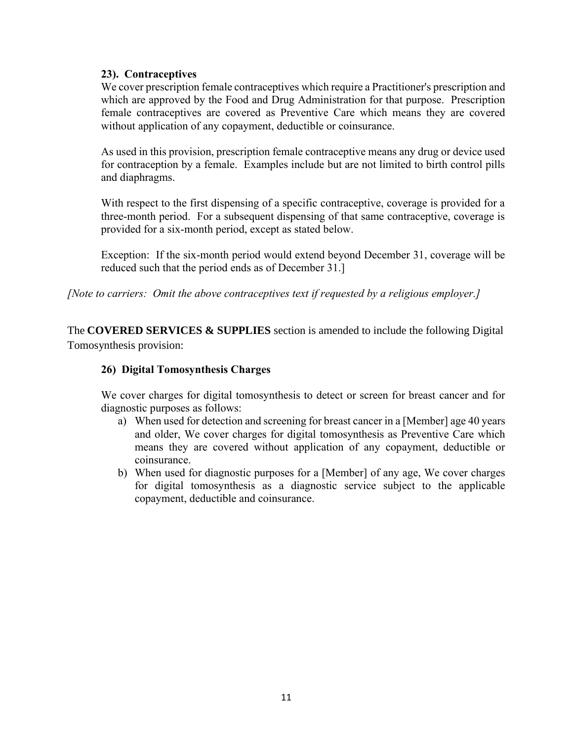### **23). Contraceptives**

We cover prescription female contraceptives which require a Practitioner's prescription and which are approved by the Food and Drug Administration for that purpose. Prescription female contraceptives are covered as Preventive Care which means they are covered without application of any copayment, deductible or coinsurance.

As used in this provision, prescription female contraceptive means any drug or device used for contraception by a female. Examples include but are not limited to birth control pills and diaphragms.

With respect to the first dispensing of a specific contraceptive, coverage is provided for a three-month period. For a subsequent dispensing of that same contraceptive, coverage is provided for a six-month period, except as stated below.

Exception: If the six-month period would extend beyond December 31, coverage will be reduced such that the period ends as of December 31.]

*[Note to carriers: Omit the above contraceptives text if requested by a religious employer.]*

The **COVERED SERVICES & SUPPLIES** section is amended to include the following Digital Tomosynthesis provision:

### **26) Digital Tomosynthesis Charges**

We cover charges for digital tomosynthesis to detect or screen for breast cancer and for diagnostic purposes as follows:

- a) When used for detection and screening for breast cancer in a [Member] age 40 years and older, We cover charges for digital tomosynthesis as Preventive Care which means they are covered without application of any copayment, deductible or coinsurance.
- b) When used for diagnostic purposes for a [Member] of any age, We cover charges for digital tomosynthesis as a diagnostic service subject to the applicable copayment, deductible and coinsurance.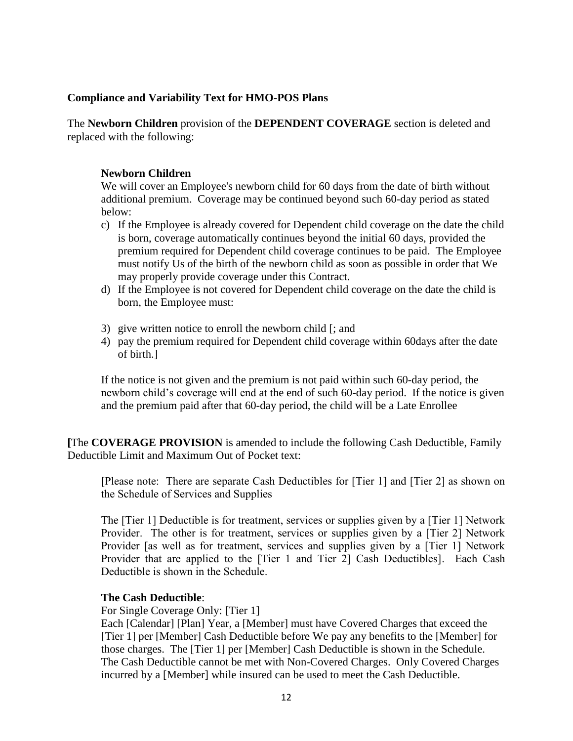### **Compliance and Variability Text for HMO-POS Plans**

The **Newborn Children** provision of the **DEPENDENT COVERAGE** section is deleted and replaced with the following:

### **Newborn Children**

We will cover an Employee's newborn child for 60 days from the date of birth without additional premium. Coverage may be continued beyond such 60-day period as stated below:

- c) If the Employee is already covered for Dependent child coverage on the date the child is born, coverage automatically continues beyond the initial 60 days, provided the premium required for Dependent child coverage continues to be paid. The Employee must notify Us of the birth of the newborn child as soon as possible in order that We may properly provide coverage under this Contract.
- d) If the Employee is not covered for Dependent child coverage on the date the child is born, the Employee must:
- 3) give written notice to enroll the newborn child [; and
- 4) pay the premium required for Dependent child coverage within 60days after the date of birth.]

If the notice is not given and the premium is not paid within such 60-day period, the newborn child's coverage will end at the end of such 60-day period. If the notice is given and the premium paid after that 60-day period, the child will be a Late Enrollee

**[**The **COVERAGE PROVISION** is amended to include the following Cash Deductible, Family Deductible Limit and Maximum Out of Pocket text:

[Please note: There are separate Cash Deductibles for [Tier 1] and [Tier 2] as shown on the Schedule of Services and Supplies

The [Tier 1] Deductible is for treatment, services or supplies given by a [Tier 1] Network Provider. The other is for treatment, services or supplies given by a [Tier 2] Network Provider [as well as for treatment, services and supplies given by a [Tier 1] Network Provider that are applied to the [Tier 1 and Tier 2] Cash Deductibles]. Each Cash Deductible is shown in the Schedule.

### **The Cash Deductible**:

For Single Coverage Only: [Tier 1]

Each [Calendar] [Plan] Year, a [Member] must have Covered Charges that exceed the [Tier 1] per [Member] Cash Deductible before We pay any benefits to the [Member] for those charges. The [Tier 1] per [Member] Cash Deductible is shown in the Schedule. The Cash Deductible cannot be met with Non-Covered Charges. Only Covered Charges incurred by a [Member] while insured can be used to meet the Cash Deductible.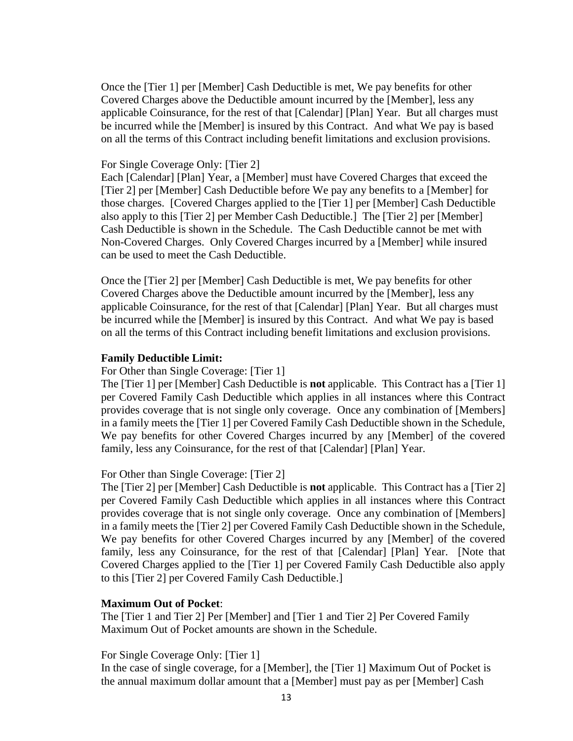Once the [Tier 1] per [Member] Cash Deductible is met, We pay benefits for other Covered Charges above the Deductible amount incurred by the [Member], less any applicable Coinsurance, for the rest of that [Calendar] [Plan] Year. But all charges must be incurred while the [Member] is insured by this Contract. And what We pay is based on all the terms of this Contract including benefit limitations and exclusion provisions.

#### For Single Coverage Only: [Tier 2]

Each [Calendar] [Plan] Year, a [Member] must have Covered Charges that exceed the [Tier 2] per [Member] Cash Deductible before We pay any benefits to a [Member] for those charges. [Covered Charges applied to the [Tier 1] per [Member] Cash Deductible also apply to this [Tier 2] per Member Cash Deductible.] The [Tier 2] per [Member] Cash Deductible is shown in the Schedule. The Cash Deductible cannot be met with Non-Covered Charges. Only Covered Charges incurred by a [Member] while insured can be used to meet the Cash Deductible.

Once the [Tier 2] per [Member] Cash Deductible is met, We pay benefits for other Covered Charges above the Deductible amount incurred by the [Member], less any applicable Coinsurance, for the rest of that [Calendar] [Plan] Year. But all charges must be incurred while the [Member] is insured by this Contract. And what We pay is based on all the terms of this Contract including benefit limitations and exclusion provisions.

#### **Family Deductible Limit:**

For Other than Single Coverage: [Tier 1]

The [Tier 1] per [Member] Cash Deductible is **not** applicable. This Contract has a [Tier 1] per Covered Family Cash Deductible which applies in all instances where this Contract provides coverage that is not single only coverage. Once any combination of [Members] in a family meets the [Tier 1] per Covered Family Cash Deductible shown in the Schedule, We pay benefits for other Covered Charges incurred by any [Member] of the covered family, less any Coinsurance, for the rest of that [Calendar] [Plan] Year.

#### For Other than Single Coverage: [Tier 2]

The [Tier 2] per [Member] Cash Deductible is **not** applicable. This Contract has a [Tier 2] per Covered Family Cash Deductible which applies in all instances where this Contract provides coverage that is not single only coverage. Once any combination of [Members] in a family meets the [Tier 2] per Covered Family Cash Deductible shown in the Schedule, We pay benefits for other Covered Charges incurred by any [Member] of the covered family, less any Coinsurance, for the rest of that [Calendar] [Plan] Year. [Note that Covered Charges applied to the [Tier 1] per Covered Family Cash Deductible also apply to this [Tier 2] per Covered Family Cash Deductible.]

#### **Maximum Out of Pocket**:

The [Tier 1 and Tier 2] Per [Member] and [Tier 1 and Tier 2] Per Covered Family Maximum Out of Pocket amounts are shown in the Schedule.

For Single Coverage Only: [Tier 1]

In the case of single coverage, for a [Member], the [Tier 1] Maximum Out of Pocket is the annual maximum dollar amount that a [Member] must pay as per [Member] Cash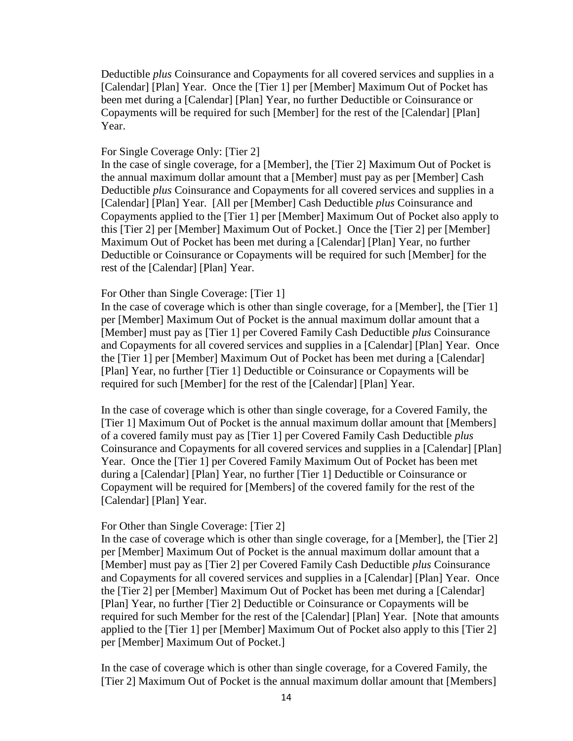Deductible *plus* Coinsurance and Copayments for all covered services and supplies in a [Calendar] [Plan] Year. Once the [Tier 1] per [Member] Maximum Out of Pocket has been met during a [Calendar] [Plan] Year, no further Deductible or Coinsurance or Copayments will be required for such [Member] for the rest of the [Calendar] [Plan] Year.

#### For Single Coverage Only: [Tier 2]

In the case of single coverage, for a [Member], the [Tier 2] Maximum Out of Pocket is the annual maximum dollar amount that a [Member] must pay as per [Member] Cash Deductible *plus* Coinsurance and Copayments for all covered services and supplies in a [Calendar] [Plan] Year. [All per [Member] Cash Deductible *plus* Coinsurance and Copayments applied to the [Tier 1] per [Member] Maximum Out of Pocket also apply to this [Tier 2] per [Member] Maximum Out of Pocket.] Once the [Tier 2] per [Member] Maximum Out of Pocket has been met during a [Calendar] [Plan] Year, no further Deductible or Coinsurance or Copayments will be required for such [Member] for the rest of the [Calendar] [Plan] Year.

#### For Other than Single Coverage: [Tier 1]

In the case of coverage which is other than single coverage, for a [Member], the [Tier 1] per [Member] Maximum Out of Pocket is the annual maximum dollar amount that a [Member] must pay as [Tier 1] per Covered Family Cash Deductible *plus* Coinsurance and Copayments for all covered services and supplies in a [Calendar] [Plan] Year. Once the [Tier 1] per [Member] Maximum Out of Pocket has been met during a [Calendar] [Plan] Year, no further [Tier 1] Deductible or Coinsurance or Copayments will be required for such [Member] for the rest of the [Calendar] [Plan] Year.

In the case of coverage which is other than single coverage, for a Covered Family, the [Tier 1] Maximum Out of Pocket is the annual maximum dollar amount that [Members] of a covered family must pay as [Tier 1] per Covered Family Cash Deductible *plus* Coinsurance and Copayments for all covered services and supplies in a [Calendar] [Plan] Year. Once the [Tier 1] per Covered Family Maximum Out of Pocket has been met during a [Calendar] [Plan] Year, no further [Tier 1] Deductible or Coinsurance or Copayment will be required for [Members] of the covered family for the rest of the [Calendar] [Plan] Year.

#### For Other than Single Coverage: [Tier 2]

In the case of coverage which is other than single coverage, for a [Member], the [Tier 2] per [Member] Maximum Out of Pocket is the annual maximum dollar amount that a [Member] must pay as [Tier 2] per Covered Family Cash Deductible *plus* Coinsurance and Copayments for all covered services and supplies in a [Calendar] [Plan] Year. Once the [Tier 2] per [Member] Maximum Out of Pocket has been met during a [Calendar] [Plan] Year, no further [Tier 2] Deductible or Coinsurance or Copayments will be required for such Member for the rest of the [Calendar] [Plan] Year. [Note that amounts applied to the [Tier 1] per [Member] Maximum Out of Pocket also apply to this [Tier 2] per [Member] Maximum Out of Pocket.]

In the case of coverage which is other than single coverage, for a Covered Family, the [Tier 2] Maximum Out of Pocket is the annual maximum dollar amount that [Members]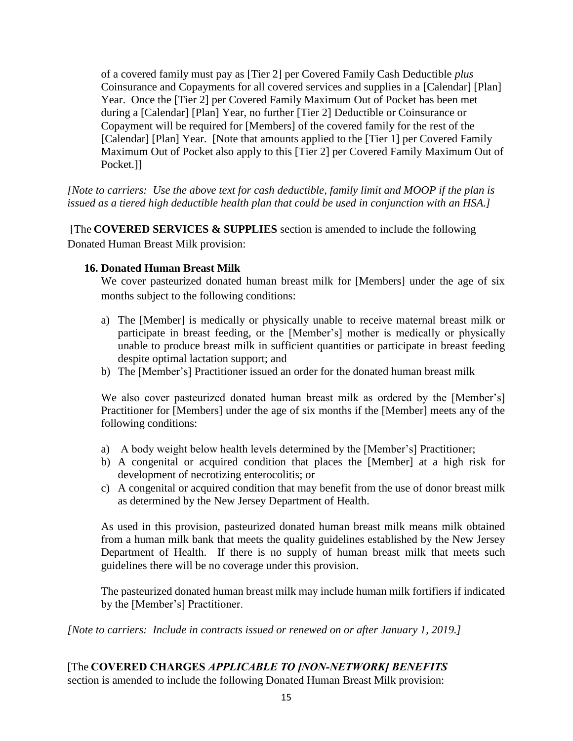of a covered family must pay as [Tier 2] per Covered Family Cash Deductible *plus* Coinsurance and Copayments for all covered services and supplies in a [Calendar] [Plan] Year. Once the [Tier 2] per Covered Family Maximum Out of Pocket has been met during a [Calendar] [Plan] Year, no further [Tier 2] Deductible or Coinsurance or Copayment will be required for [Members] of the covered family for the rest of the [Calendar] [Plan] Year. [Note that amounts applied to the [Tier 1] per Covered Family Maximum Out of Pocket also apply to this [Tier 2] per Covered Family Maximum Out of Pocket.]]

*[Note to carriers: Use the above text for cash deductible, family limit and MOOP if the plan is issued as a tiered high deductible health plan that could be used in conjunction with an HSA.]*

[The **COVERED SERVICES & SUPPLIES** section is amended to include the following Donated Human Breast Milk provision:

### **16. Donated Human Breast Milk**

We cover pasteurized donated human breast milk for [Members] under the age of six months subject to the following conditions:

- a) The [Member] is medically or physically unable to receive maternal breast milk or participate in breast feeding, or the [Member's] mother is medically or physically unable to produce breast milk in sufficient quantities or participate in breast feeding despite optimal lactation support; and
- b) The [Member's] Practitioner issued an order for the donated human breast milk

We also cover pasteurized donated human breast milk as ordered by the [Member's] Practitioner for [Members] under the age of six months if the [Member] meets any of the following conditions:

- a) A body weight below health levels determined by the [Member's] Practitioner;
- b) A congenital or acquired condition that places the [Member] at a high risk for development of necrotizing enterocolitis; or
- c) A congenital or acquired condition that may benefit from the use of donor breast milk as determined by the New Jersey Department of Health.

As used in this provision, pasteurized donated human breast milk means milk obtained from a human milk bank that meets the quality guidelines established by the New Jersey Department of Health. If there is no supply of human breast milk that meets such guidelines there will be no coverage under this provision.

The pasteurized donated human breast milk may include human milk fortifiers if indicated by the [Member's] Practitioner.

*[Note to carriers: Include in contracts issued or renewed on or after January 1, 2019.]* 

# [The **COVERED CHARGES** *APPLICABLE TO [NON-NETWORK] BENEFITS*

section is amended to include the following Donated Human Breast Milk provision: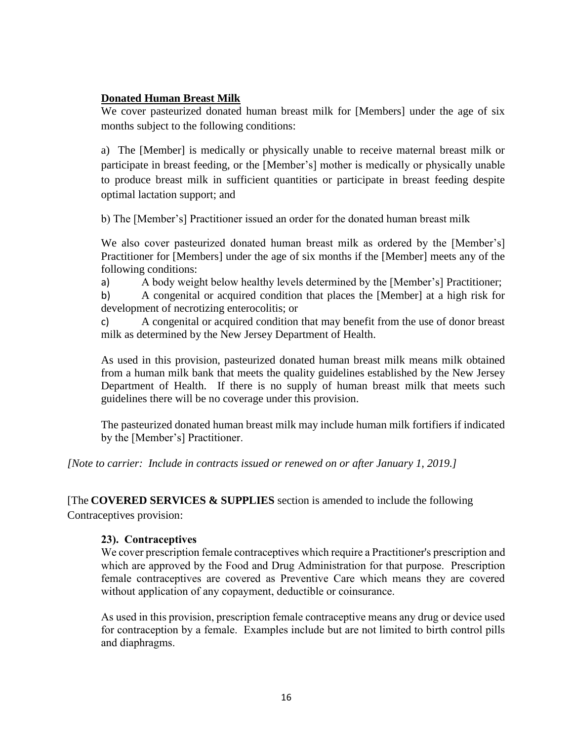### **Donated Human Breast Milk**

We cover pasteurized donated human breast milk for [Members] under the age of six months subject to the following conditions:

a) The [Member] is medically or physically unable to receive maternal breast milk or participate in breast feeding, or the [Member's] mother is medically or physically unable to produce breast milk in sufficient quantities or participate in breast feeding despite optimal lactation support; and

b) The [Member's] Practitioner issued an order for the donated human breast milk

We also cover pasteurized donated human breast milk as ordered by the [Member's] Practitioner for [Members] under the age of six months if the [Member] meets any of the following conditions:

a) A body weight below healthy levels determined by the [Member's] Practitioner;

b) A congenital or acquired condition that places the [Member] at a high risk for development of necrotizing enterocolitis; or

c) A congenital or acquired condition that may benefit from the use of donor breast milk as determined by the New Jersey Department of Health.

As used in this provision, pasteurized donated human breast milk means milk obtained from a human milk bank that meets the quality guidelines established by the New Jersey Department of Health. If there is no supply of human breast milk that meets such guidelines there will be no coverage under this provision.

The pasteurized donated human breast milk may include human milk fortifiers if indicated by the [Member's] Practitioner.

*[Note to carrier: Include in contracts issued or renewed on or after January 1, 2019.]* 

[The **COVERED SERVICES & SUPPLIES** section is amended to include the following

Contraceptives provision:

### **23). Contraceptives**

We cover prescription female contraceptives which require a Practitioner's prescription and which are approved by the Food and Drug Administration for that purpose. Prescription female contraceptives are covered as Preventive Care which means they are covered without application of any copayment, deductible or coinsurance.

As used in this provision, prescription female contraceptive means any drug or device used for contraception by a female. Examples include but are not limited to birth control pills and diaphragms.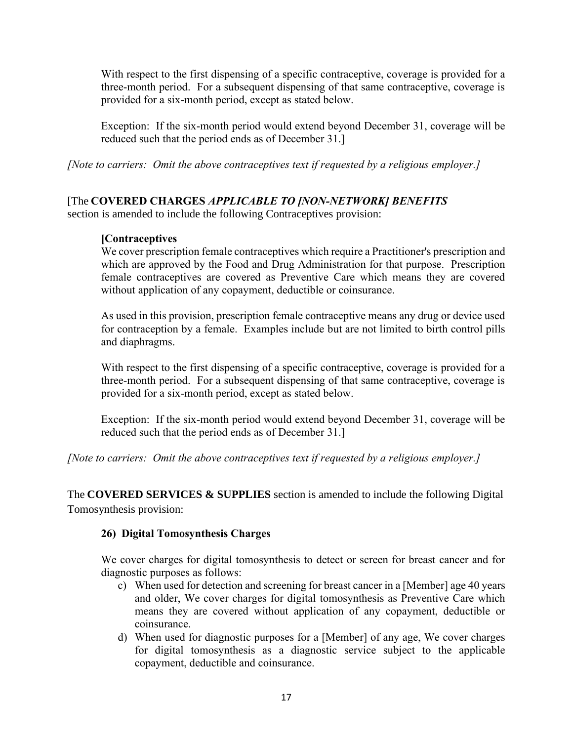With respect to the first dispensing of a specific contraceptive, coverage is provided for a three-month period. For a subsequent dispensing of that same contraceptive, coverage is provided for a six-month period, except as stated below.

Exception: If the six-month period would extend beyond December 31, coverage will be reduced such that the period ends as of December 31.]

*[Note to carriers: Omit the above contraceptives text if requested by a religious employer.]*

# [The **COVERED CHARGES** *APPLICABLE TO [NON-NETWORK] BENEFITS*

section is amended to include the following Contraceptives provision:

## **[Contraceptives**

We cover prescription female contraceptives which require a Practitioner's prescription and which are approved by the Food and Drug Administration for that purpose. Prescription female contraceptives are covered as Preventive Care which means they are covered without application of any copayment, deductible or coinsurance.

As used in this provision, prescription female contraceptive means any drug or device used for contraception by a female. Examples include but are not limited to birth control pills and diaphragms.

With respect to the first dispensing of a specific contraceptive, coverage is provided for a three-month period. For a subsequent dispensing of that same contraceptive, coverage is provided for a six-month period, except as stated below.

Exception: If the six-month period would extend beyond December 31, coverage will be reduced such that the period ends as of December 31.]

*[Note to carriers: Omit the above contraceptives text if requested by a religious employer.]*

The **COVERED SERVICES & SUPPLIES** section is amended to include the following Digital Tomosynthesis provision:

# **26) Digital Tomosynthesis Charges**

We cover charges for digital tomosynthesis to detect or screen for breast cancer and for diagnostic purposes as follows:

- c) When used for detection and screening for breast cancer in a [Member] age 40 years and older, We cover charges for digital tomosynthesis as Preventive Care which means they are covered without application of any copayment, deductible or coinsurance.
- d) When used for diagnostic purposes for a [Member] of any age, We cover charges for digital tomosynthesis as a diagnostic service subject to the applicable copayment, deductible and coinsurance.